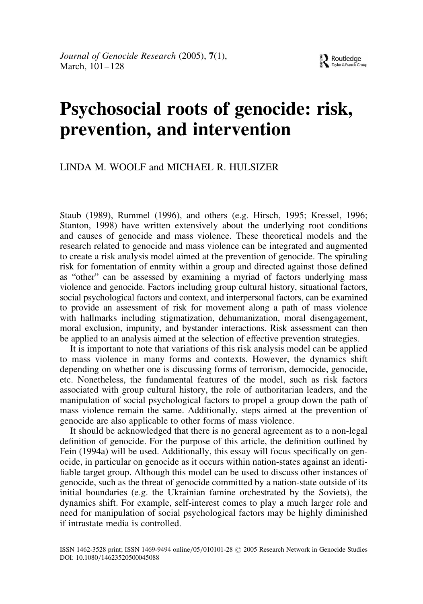# Psychosocial roots of genocide: risk, prevention, and intervention

# LINDA M. WOOLF and MICHAEL R. HULSIZER

Staub (1989), Rummel (1996), and others (e.g. Hirsch, 1995; Kressel, 1996; Stanton, 1998) have written extensively about the underlying root conditions and causes of genocide and mass violence. These theoretical models and the research related to genocide and mass violence can be integrated and augmented to create a risk analysis model aimed at the prevention of genocide. The spiraling risk for fomentation of enmity within a group and directed against those defined as "other" can be assessed by examining a myriad of factors underlying mass violence and genocide. Factors including group cultural history, situational factors, social psychological factors and context, and interpersonal factors, can be examined to provide an assessment of risk for movement along a path of mass violence with hallmarks including stigmatization, dehumanization, moral disengagement, moral exclusion, impunity, and bystander interactions. Risk assessment can then be applied to an analysis aimed at the selection of effective prevention strategies.

It is important to note that variations of this risk analysis model can be applied to mass violence in many forms and contexts. However, the dynamics shift depending on whether one is discussing forms of terrorism, democide, genocide, etc. Nonetheless, the fundamental features of the model, such as risk factors associated with group cultural history, the role of authoritarian leaders, and the manipulation of social psychological factors to propel a group down the path of mass violence remain the same. Additionally, steps aimed at the prevention of genocide are also applicable to other forms of mass violence.

It should be acknowledged that there is no general agreement as to a non-legal definition of genocide. For the purpose of this article, the definition outlined by Fein (1994a) will be used. Additionally, this essay will focus specifically on genocide, in particular on genocide as it occurs within nation-states against an identifiable target group. Although this model can be used to discuss other instances of genocide, such as the threat of genocide committed by a nation-state outside of its initial boundaries (e.g. the Ukrainian famine orchestrated by the Soviets), the dynamics shift. For example, self-interest comes to play a much larger role and need for manipulation of social psychological factors may be highly diminished if intrastate media is controlled.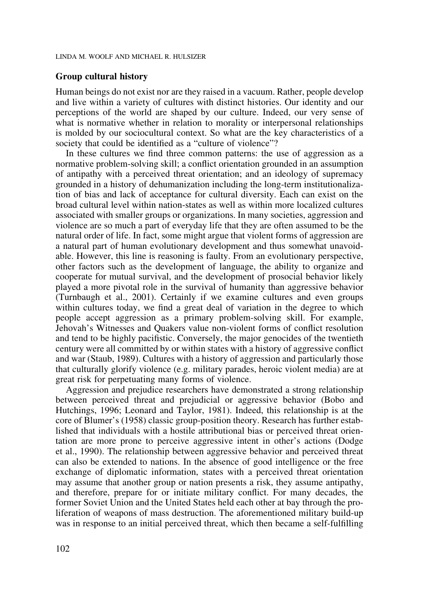### Group cultural history

Human beings do not exist nor are they raised in a vacuum. Rather, people develop and live within a variety of cultures with distinct histories. Our identity and our perceptions of the world are shaped by our culture. Indeed, our very sense of what is normative whether in relation to morality or interpersonal relationships is molded by our sociocultural context. So what are the key characteristics of a society that could be identified as a "culture of violence"?

In these cultures we find three common patterns: the use of aggression as a normative problem-solving skill; a conflict orientation grounded in an assumption of antipathy with a perceived threat orientation; and an ideology of supremacy grounded in a history of dehumanization including the long-term institutionalization of bias and lack of acceptance for cultural diversity. Each can exist on the broad cultural level within nation-states as well as within more localized cultures associated with smaller groups or organizations. In many societies, aggression and violence are so much a part of everyday life that they are often assumed to be the natural order of life. In fact, some might argue that violent forms of aggression are a natural part of human evolutionary development and thus somewhat unavoidable. However, this line is reasoning is faulty. From an evolutionary perspective, other factors such as the development of language, the ability to organize and cooperate for mutual survival, and the development of prosocial behavior likely played a more pivotal role in the survival of humanity than aggressive behavior (Turnbaugh et al., 2001). Certainly if we examine cultures and even groups within cultures today, we find a great deal of variation in the degree to which people accept aggression as a primary problem-solving skill. For example, Jehovah's Witnesses and Quakers value non-violent forms of conflict resolution and tend to be highly pacifistic. Conversely, the major genocides of the twentieth century were all committed by or within states with a history of aggressive conflict and war (Staub, 1989). Cultures with a history of aggression and particularly those that culturally glorify violence (e.g. military parades, heroic violent media) are at great risk for perpetuating many forms of violence.

Aggression and prejudice researchers have demonstrated a strong relationship between perceived threat and prejudicial or aggressive behavior (Bobo and Hutchings, 1996; Leonard and Taylor, 1981). Indeed, this relationship is at the core of Blumer's (1958) classic group-position theory. Research has further established that individuals with a hostile attributional bias or perceived threat orientation are more prone to perceive aggressive intent in other's actions (Dodge et al., 1990). The relationship between aggressive behavior and perceived threat can also be extended to nations. In the absence of good intelligence or the free exchange of diplomatic information, states with a perceived threat orientation may assume that another group or nation presents a risk, they assume antipathy, and therefore, prepare for or initiate military conflict. For many decades, the former Soviet Union and the United States held each other at bay through the proliferation of weapons of mass destruction. The aforementioned military build-up was in response to an initial perceived threat, which then became a self-fulfilling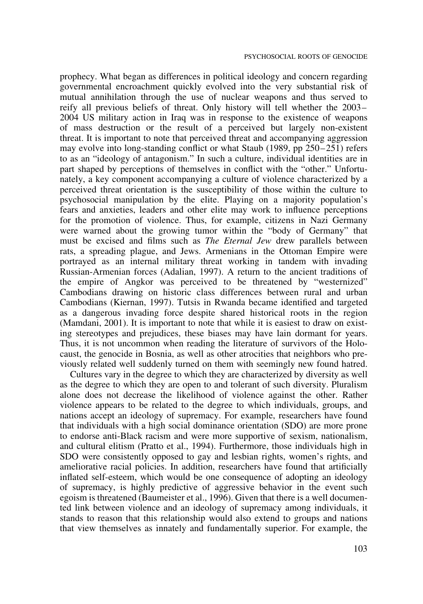prophecy. What began as differences in political ideology and concern regarding governmental encroachment quickly evolved into the very substantial risk of mutual annihilation through the use of nuclear weapons and thus served to reify all previous beliefs of threat. Only history will tell whether the 2003– 2004 US military action in Iraq was in response to the existence of weapons of mass destruction or the result of a perceived but largely non-existent threat. It is important to note that perceived threat and accompanying aggression may evolve into long-standing conflict or what Staub (1989, pp  $250-251$ ) refers to as an "ideology of antagonism." In such a culture, individual identities are in part shaped by perceptions of themselves in conflict with the "other." Unfortunately, a key component accompanying a culture of violence characterized by a perceived threat orientation is the susceptibility of those within the culture to psychosocial manipulation by the elite. Playing on a majority population's fears and anxieties, leaders and other elite may work to influence perceptions for the promotion of violence. Thus, for example, citizens in Nazi Germany were warned about the growing tumor within the "body of Germany" that must be excised and films such as The Eternal Jew drew parallels between rats, a spreading plague, and Jews. Armenians in the Ottoman Empire were portrayed as an internal military threat working in tandem with invading Russian-Armenian forces (Adalian, 1997). A return to the ancient traditions of the empire of Angkor was perceived to be threatened by "westernized" Cambodians drawing on historic class differences between rural and urban Cambodians (Kiernan, 1997). Tutsis in Rwanda became identified and targeted as a dangerous invading force despite shared historical roots in the region (Mamdani, 2001). It is important to note that while it is easiest to draw on existing stereotypes and prejudices, these biases may have lain dormant for years. Thus, it is not uncommon when reading the literature of survivors of the Holocaust, the genocide in Bosnia, as well as other atrocities that neighbors who previously related well suddenly turned on them with seemingly new found hatred.

Cultures vary in the degree to which they are characterized by diversity as well as the degree to which they are open to and tolerant of such diversity. Pluralism alone does not decrease the likelihood of violence against the other. Rather violence appears to be related to the degree to which individuals, groups, and nations accept an ideology of supremacy. For example, researchers have found that individuals with a high social dominance orientation (SDO) are more prone to endorse anti-Black racism and were more supportive of sexism, nationalism, and cultural elitism (Pratto et al., 1994). Furthermore, those individuals high in SDO were consistently opposed to gay and lesbian rights, women's rights, and ameliorative racial policies. In addition, researchers have found that artificially inflated self-esteem, which would be one consequence of adopting an ideology of supremacy, is highly predictive of aggressive behavior in the event such egoism is threatened (Baumeister et al., 1996). Given that there is a well documented link between violence and an ideology of supremacy among individuals, it stands to reason that this relationship would also extend to groups and nations that view themselves as innately and fundamentally superior. For example, the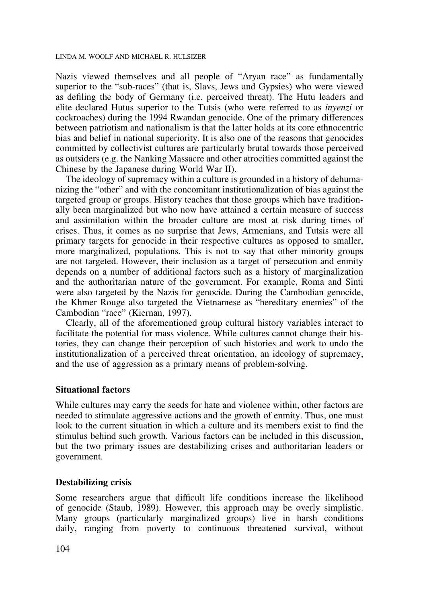Nazis viewed themselves and all people of "Aryan race" as fundamentally superior to the "sub-races" (that is, Slavs, Jews and Gypsies) who were viewed as defiling the body of Germany (i.e. perceived threat). The Hutu leaders and elite declared Hutus superior to the Tutsis (who were referred to as inyenzi or cockroaches) during the 1994 Rwandan genocide. One of the primary differences between patriotism and nationalism is that the latter holds at its core ethnocentric bias and belief in national superiority. It is also one of the reasons that genocides committed by collectivist cultures are particularly brutal towards those perceived as outsiders (e.g. the Nanking Massacre and other atrocities committed against the Chinese by the Japanese during World War II).

The ideology of supremacy within a culture is grounded in a history of dehumanizing the "other" and with the concomitant institutionalization of bias against the targeted group or groups. History teaches that those groups which have traditionally been marginalized but who now have attained a certain measure of success and assimilation within the broader culture are most at risk during times of crises. Thus, it comes as no surprise that Jews, Armenians, and Tutsis were all primary targets for genocide in their respective cultures as opposed to smaller, more marginalized, populations. This is not to say that other minority groups are not targeted. However, their inclusion as a target of persecution and enmity depends on a number of additional factors such as a history of marginalization and the authoritarian nature of the government. For example, Roma and Sinti were also targeted by the Nazis for genocide. During the Cambodian genocide, the Khmer Rouge also targeted the Vietnamese as "hereditary enemies" of the Cambodian "race" (Kiernan, 1997).

Clearly, all of the aforementioned group cultural history variables interact to facilitate the potential for mass violence. While cultures cannot change their histories, they can change their perception of such histories and work to undo the institutionalization of a perceived threat orientation, an ideology of supremacy, and the use of aggression as a primary means of problem-solving.

## Situational factors

While cultures may carry the seeds for hate and violence within, other factors are needed to stimulate aggressive actions and the growth of enmity. Thus, one must look to the current situation in which a culture and its members exist to find the stimulus behind such growth. Various factors can be included in this discussion, but the two primary issues are destabilizing crises and authoritarian leaders or government.

## Destabilizing crisis

Some researchers argue that difficult life conditions increase the likelihood of genocide (Staub, 1989). However, this approach may be overly simplistic. Many groups (particularly marginalized groups) live in harsh conditions daily, ranging from poverty to continuous threatened survival, without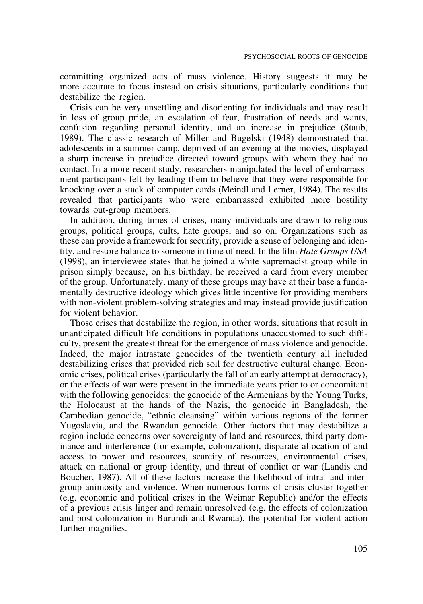committing organized acts of mass violence. History suggests it may be more accurate to focus instead on crisis situations, particularly conditions that destabilize the region.

Crisis can be very unsettling and disorienting for individuals and may result in loss of group pride, an escalation of fear, frustration of needs and wants, confusion regarding personal identity, and an increase in prejudice (Staub, 1989). The classic research of Miller and Bugelski (1948) demonstrated that adolescents in a summer camp, deprived of an evening at the movies, displayed a sharp increase in prejudice directed toward groups with whom they had no contact. In a more recent study, researchers manipulated the level of embarrassment participants felt by leading them to believe that they were responsible for knocking over a stack of computer cards (Meindl and Lerner, 1984). The results revealed that participants who were embarrassed exhibited more hostility towards out-group members.

In addition, during times of crises, many individuals are drawn to religious groups, political groups, cults, hate groups, and so on. Organizations such as these can provide a framework for security, provide a sense of belonging and identity, and restore balance to someone in time of need. In the film Hate Groups USA (1998), an interviewee states that he joined a white supremacist group while in prison simply because, on his birthday, he received a card from every member of the group. Unfortunately, many of these groups may have at their base a fundamentally destructive ideology which gives little incentive for providing members with non-violent problem-solving strategies and may instead provide justification for violent behavior.

Those crises that destabilize the region, in other words, situations that result in unanticipated difficult life conditions in populations unaccustomed to such difficulty, present the greatest threat for the emergence of mass violence and genocide. Indeed, the major intrastate genocides of the twentieth century all included destabilizing crises that provided rich soil for destructive cultural change. Economic crises, political crises (particularly the fall of an early attempt at democracy), or the effects of war were present in the immediate years prior to or concomitant with the following genocides: the genocide of the Armenians by the Young Turks, the Holocaust at the hands of the Nazis, the genocide in Bangladesh, the Cambodian genocide, "ethnic cleansing" within various regions of the former Yugoslavia, and the Rwandan genocide. Other factors that may destabilize a region include concerns over sovereignty of land and resources, third party dominance and interference (for example, colonization), disparate allocation of and access to power and resources, scarcity of resources, environmental crises, attack on national or group identity, and threat of conflict or war (Landis and Boucher, 1987). All of these factors increase the likelihood of intra- and intergroup animosity and violence. When numerous forms of crisis cluster together (e.g. economic and political crises in the Weimar Republic) and/or the effects of a previous crisis linger and remain unresolved (e.g. the effects of colonization and post-colonization in Burundi and Rwanda), the potential for violent action further magnifies.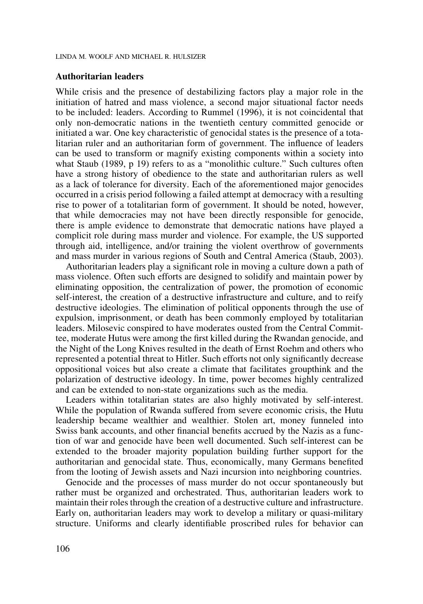#### Authoritarian leaders

While crisis and the presence of destabilizing factors play a major role in the initiation of hatred and mass violence, a second major situational factor needs to be included: leaders. According to Rummel (1996), it is not coincidental that only non-democratic nations in the twentieth century committed genocide or initiated a war. One key characteristic of genocidal states is the presence of a totalitarian ruler and an authoritarian form of government. The influence of leaders can be used to transform or magnify existing components within a society into what Staub (1989, p 19) refers to as a "monolithic culture." Such cultures often have a strong history of obedience to the state and authoritarian rulers as well as a lack of tolerance for diversity. Each of the aforementioned major genocides occurred in a crisis period following a failed attempt at democracy with a resulting rise to power of a totalitarian form of government. It should be noted, however, that while democracies may not have been directly responsible for genocide, there is ample evidence to demonstrate that democratic nations have played a complicit role during mass murder and violence. For example, the US supported through aid, intelligence, and/or training the violent overthrow of governments and mass murder in various regions of South and Central America (Staub, 2003).

Authoritarian leaders play a significant role in moving a culture down a path of mass violence. Often such efforts are designed to solidify and maintain power by eliminating opposition, the centralization of power, the promotion of economic self-interest, the creation of a destructive infrastructure and culture, and to reify destructive ideologies. The elimination of political opponents through the use of expulsion, imprisonment, or death has been commonly employed by totalitarian leaders. Milosevic conspired to have moderates ousted from the Central Committee, moderate Hutus were among the first killed during the Rwandan genocide, and the Night of the Long Knives resulted in the death of Ernst Roehm and others who represented a potential threat to Hitler. Such efforts not only significantly decrease oppositional voices but also create a climate that facilitates groupthink and the polarization of destructive ideology. In time, power becomes highly centralized and can be extended to non-state organizations such as the media.

Leaders within totalitarian states are also highly motivated by self-interest. While the population of Rwanda suffered from severe economic crisis, the Hutu leadership became wealthier and wealthier. Stolen art, money funneled into Swiss bank accounts, and other financial benefits accrued by the Nazis as a function of war and genocide have been well documented. Such self-interest can be extended to the broader majority population building further support for the authoritarian and genocidal state. Thus, economically, many Germans benefited from the looting of Jewish assets and Nazi incursion into neighboring countries.

Genocide and the processes of mass murder do not occur spontaneously but rather must be organized and orchestrated. Thus, authoritarian leaders work to maintain their roles through the creation of a destructive culture and infrastructure. Early on, authoritarian leaders may work to develop a military or quasi-military structure. Uniforms and clearly identifiable proscribed rules for behavior can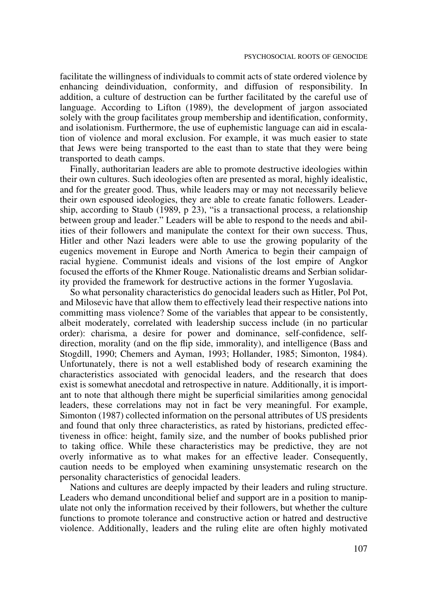facilitate the willingness of individuals to commit acts of state ordered violence by enhancing deindividuation, conformity, and diffusion of responsibility. In addition, a culture of destruction can be further facilitated by the careful use of language. According to Lifton (1989), the development of jargon associated solely with the group facilitates group membership and identification, conformity, and isolationism. Furthermore, the use of euphemistic language can aid in escalation of violence and moral exclusion. For example, it was much easier to state that Jews were being transported to the east than to state that they were being transported to death camps.

Finally, authoritarian leaders are able to promote destructive ideologies within their own cultures. Such ideologies often are presented as moral, highly idealistic, and for the greater good. Thus, while leaders may or may not necessarily believe their own espoused ideologies, they are able to create fanatic followers. Leadership, according to Staub (1989, p 23), "is a transactional process, a relationship between group and leader." Leaders will be able to respond to the needs and abilities of their followers and manipulate the context for their own success. Thus, Hitler and other Nazi leaders were able to use the growing popularity of the eugenics movement in Europe and North America to begin their campaign of racial hygiene. Communist ideals and visions of the lost empire of Angkor focused the efforts of the Khmer Rouge. Nationalistic dreams and Serbian solidarity provided the framework for destructive actions in the former Yugoslavia.

So what personality characteristics do genocidal leaders such as Hitler, Pol Pot, and Milosevic have that allow them to effectively lead their respective nations into committing mass violence? Some of the variables that appear to be consistently, albeit moderately, correlated with leadership success include (in no particular order): charisma, a desire for power and dominance, self-confidence, selfdirection, morality (and on the flip side, immorality), and intelligence (Bass and Stogdill, 1990; Chemers and Ayman, 1993; Hollander, 1985; Simonton, 1984). Unfortunately, there is not a well established body of research examining the characteristics associated with genocidal leaders, and the research that does exist is somewhat anecdotal and retrospective in nature. Additionally, it is important to note that although there might be superficial similarities among genocidal leaders, these correlations may not in fact be very meaningful. For example, Simonton (1987) collected information on the personal attributes of US presidents and found that only three characteristics, as rated by historians, predicted effectiveness in office: height, family size, and the number of books published prior to taking office. While these characteristics may be predictive, they are not overly informative as to what makes for an effective leader. Consequently, caution needs to be employed when examining unsystematic research on the personality characteristics of genocidal leaders.

Nations and cultures are deeply impacted by their leaders and ruling structure. Leaders who demand unconditional belief and support are in a position to manipulate not only the information received by their followers, but whether the culture functions to promote tolerance and constructive action or hatred and destructive violence. Additionally, leaders and the ruling elite are often highly motivated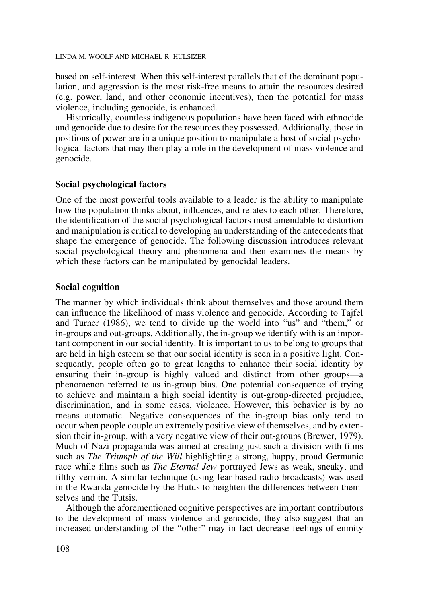based on self-interest. When this self-interest parallels that of the dominant population, and aggression is the most risk-free means to attain the resources desired (e.g. power, land, and other economic incentives), then the potential for mass violence, including genocide, is enhanced.

Historically, countless indigenous populations have been faced with ethnocide and genocide due to desire for the resources they possessed. Additionally, those in positions of power are in a unique position to manipulate a host of social psychological factors that may then play a role in the development of mass violence and genocide.

## Social psychological factors

One of the most powerful tools available to a leader is the ability to manipulate how the population thinks about, influences, and relates to each other. Therefore, the identification of the social psychological factors most amendable to distortion and manipulation is critical to developing an understanding of the antecedents that shape the emergence of genocide. The following discussion introduces relevant social psychological theory and phenomena and then examines the means by which these factors can be manipulated by genocidal leaders.

## Social cognition

The manner by which individuals think about themselves and those around them can influence the likelihood of mass violence and genocide. According to Tajfel and Turner (1986), we tend to divide up the world into "us" and "them," or in-groups and out-groups. Additionally, the in-group we identify with is an important component in our social identity. It is important to us to belong to groups that are held in high esteem so that our social identity is seen in a positive light. Consequently, people often go to great lengths to enhance their social identity by ensuring their in-group is highly valued and distinct from other groups—a phenomenon referred to as in-group bias. One potential consequence of trying to achieve and maintain a high social identity is out-group-directed prejudice, discrimination, and in some cases, violence. However, this behavior is by no means automatic. Negative consequences of the in-group bias only tend to occur when people couple an extremely positive view of themselves, and by extension their in-group, with a very negative view of their out-groups (Brewer, 1979). Much of Nazi propaganda was aimed at creating just such a division with films such as The Triumph of the Will highlighting a strong, happy, proud Germanic race while films such as The Eternal Jew portrayed Jews as weak, sneaky, and filthy vermin. A similar technique (using fear-based radio broadcasts) was used in the Rwanda genocide by the Hutus to heighten the differences between themselves and the Tutsis.

Although the aforementioned cognitive perspectives are important contributors to the development of mass violence and genocide, they also suggest that an increased understanding of the "other" may in fact decrease feelings of enmity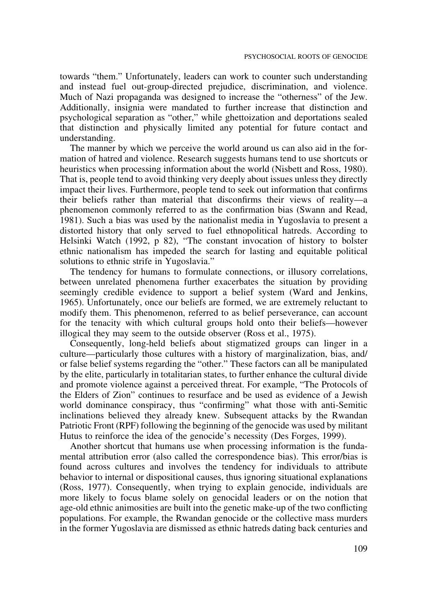towards "them." Unfortunately, leaders can work to counter such understanding and instead fuel out-group-directed prejudice, discrimination, and violence. Much of Nazi propaganda was designed to increase the "otherness" of the Jew. Additionally, insignia were mandated to further increase that distinction and psychological separation as "other," while ghettoization and deportations sealed that distinction and physically limited any potential for future contact and understanding.

The manner by which we perceive the world around us can also aid in the formation of hatred and violence. Research suggests humans tend to use shortcuts or heuristics when processing information about the world (Nisbett and Ross, 1980). That is, people tend to avoid thinking very deeply about issues unless they directly impact their lives. Furthermore, people tend to seek out information that confirms their beliefs rather than material that disconfirms their views of reality—a phenomenon commonly referred to as the confirmation bias (Swann and Read, 1981). Such a bias was used by the nationalist media in Yugoslavia to present a distorted history that only served to fuel ethnopolitical hatreds. According to Helsinki Watch (1992, p 82), "The constant invocation of history to bolster ethnic nationalism has impeded the search for lasting and equitable political solutions to ethnic strife in Yugoslavia."

The tendency for humans to formulate connections, or illusory correlations, between unrelated phenomena further exacerbates the situation by providing seemingly credible evidence to support a belief system (Ward and Jenkins, 1965). Unfortunately, once our beliefs are formed, we are extremely reluctant to modify them. This phenomenon, referred to as belief perseverance, can account for the tenacity with which cultural groups hold onto their beliefs—however illogical they may seem to the outside observer (Ross et al., 1975).

Consequently, long-held beliefs about stigmatized groups can linger in a culture—particularly those cultures with a history of marginalization, bias, and/ or false belief systems regarding the "other." These factors can all be manipulated by the elite, particularly in totalitarian states, to further enhance the cultural divide and promote violence against a perceived threat. For example, "The Protocols of the Elders of Zion" continues to resurface and be used as evidence of a Jewish world dominance conspiracy, thus "confirming" what those with anti-Semitic inclinations believed they already knew. Subsequent attacks by the Rwandan Patriotic Front (RPF) following the beginning of the genocide was used by militant Hutus to reinforce the idea of the genocide's necessity (Des Forges, 1999).

Another shortcut that humans use when processing information is the fundamental attribution error (also called the correspondence bias). This error/bias is found across cultures and involves the tendency for individuals to attribute behavior to internal or dispositional causes, thus ignoring situational explanations (Ross, 1977). Consequently, when trying to explain genocide, individuals are more likely to focus blame solely on genocidal leaders or on the notion that age-old ethnic animosities are built into the genetic make-up of the two conflicting populations. For example, the Rwandan genocide or the collective mass murders in the former Yugoslavia are dismissed as ethnic hatreds dating back centuries and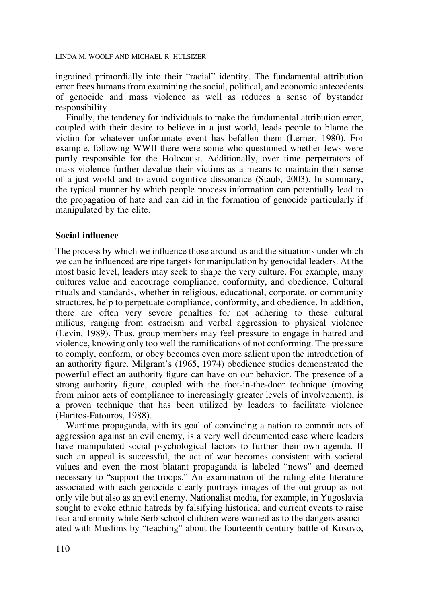ingrained primordially into their "racial" identity. The fundamental attribution error frees humans from examining the social, political, and economic antecedents of genocide and mass violence as well as reduces a sense of bystander responsibility.

Finally, the tendency for individuals to make the fundamental attribution error, coupled with their desire to believe in a just world, leads people to blame the victim for whatever unfortunate event has befallen them (Lerner, 1980). For example, following WWII there were some who questioned whether Jews were partly responsible for the Holocaust. Additionally, over time perpetrators of mass violence further devalue their victims as a means to maintain their sense of a just world and to avoid cognitive dissonance (Staub, 2003). In summary, the typical manner by which people process information can potentially lead to the propagation of hate and can aid in the formation of genocide particularly if manipulated by the elite.

### Social influence

The process by which we influence those around us and the situations under which we can be influenced are ripe targets for manipulation by genocidal leaders. At the most basic level, leaders may seek to shape the very culture. For example, many cultures value and encourage compliance, conformity, and obedience. Cultural rituals and standards, whether in religious, educational, corporate, or community structures, help to perpetuate compliance, conformity, and obedience. In addition, there are often very severe penalties for not adhering to these cultural milieus, ranging from ostracism and verbal aggression to physical violence (Levin, 1989). Thus, group members may feel pressure to engage in hatred and violence, knowing only too well the ramifications of not conforming. The pressure to comply, conform, or obey becomes even more salient upon the introduction of an authority figure. Milgram's (1965, 1974) obedience studies demonstrated the powerful effect an authority figure can have on our behavior. The presence of a strong authority figure, coupled with the foot-in-the-door technique (moving from minor acts of compliance to increasingly greater levels of involvement), is a proven technique that has been utilized by leaders to facilitate violence (Haritos-Fatouros, 1988).

Wartime propaganda, with its goal of convincing a nation to commit acts of aggression against an evil enemy, is a very well documented case where leaders have manipulated social psychological factors to further their own agenda. If such an appeal is successful, the act of war becomes consistent with societal values and even the most blatant propaganda is labeled "news" and deemed necessary to "support the troops." An examination of the ruling elite literature associated with each genocide clearly portrays images of the out-group as not only vile but also as an evil enemy. Nationalist media, for example, in Yugoslavia sought to evoke ethnic hatreds by falsifying historical and current events to raise fear and enmity while Serb school children were warned as to the dangers associated with Muslims by "teaching" about the fourteenth century battle of Kosovo,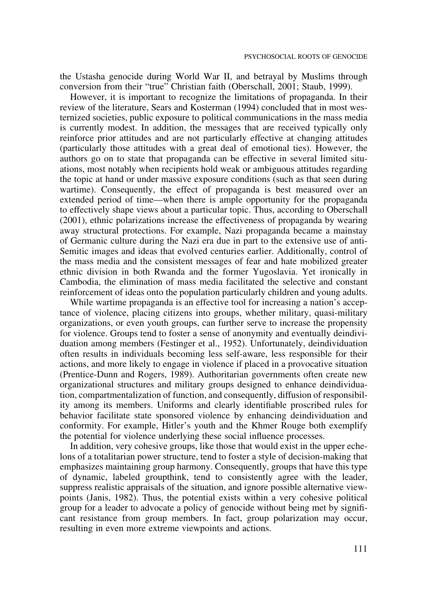the Ustasha genocide during World War II, and betrayal by Muslims through conversion from their "true" Christian faith (Oberschall, 2001; Staub, 1999).

However, it is important to recognize the limitations of propaganda. In their review of the literature, Sears and Kosterman (1994) concluded that in most westernized societies, public exposure to political communications in the mass media is currently modest. In addition, the messages that are received typically only reinforce prior attitudes and are not particularly effective at changing attitudes (particularly those attitudes with a great deal of emotional ties). However, the authors go on to state that propaganda can be effective in several limited situations, most notably when recipients hold weak or ambiguous attitudes regarding the topic at hand or under massive exposure conditions (such as that seen during wartime). Consequently, the effect of propaganda is best measured over an extended period of time—when there is ample opportunity for the propaganda to effectively shape views about a particular topic. Thus, according to Oberschall (2001), ethnic polarizations increase the effectiveness of propaganda by wearing away structural protections. For example, Nazi propaganda became a mainstay of Germanic culture during the Nazi era due in part to the extensive use of anti-Semitic images and ideas that evolved centuries earlier. Additionally, control of the mass media and the consistent messages of fear and hate mobilized greater ethnic division in both Rwanda and the former Yugoslavia. Yet ironically in Cambodia, the elimination of mass media facilitated the selective and constant reinforcement of ideas onto the population particularly children and young adults.

While wartime propaganda is an effective tool for increasing a nation's acceptance of violence, placing citizens into groups, whether military, quasi-military organizations, or even youth groups, can further serve to increase the propensity for violence. Groups tend to foster a sense of anonymity and eventually deindividuation among members (Festinger et al., 1952). Unfortunately, deindividuation often results in individuals becoming less self-aware, less responsible for their actions, and more likely to engage in violence if placed in a provocative situation (Prentice-Dunn and Rogers, 1989). Authoritarian governments often create new organizational structures and military groups designed to enhance deindividuation, compartmentalization of function, and consequently, diffusion of responsibility among its members. Uniforms and clearly identifiable proscribed rules for behavior facilitate state sponsored violence by enhancing deindividuation and conformity. For example, Hitler's youth and the Khmer Rouge both exemplify the potential for violence underlying these social influence processes.

In addition, very cohesive groups, like those that would exist in the upper echelons of a totalitarian power structure, tend to foster a style of decision-making that emphasizes maintaining group harmony. Consequently, groups that have this type of dynamic, labeled groupthink, tend to consistently agree with the leader, suppress realistic appraisals of the situation, and ignore possible alternative viewpoints (Janis, 1982). Thus, the potential exists within a very cohesive political group for a leader to advocate a policy of genocide without being met by significant resistance from group members. In fact, group polarization may occur, resulting in even more extreme viewpoints and actions.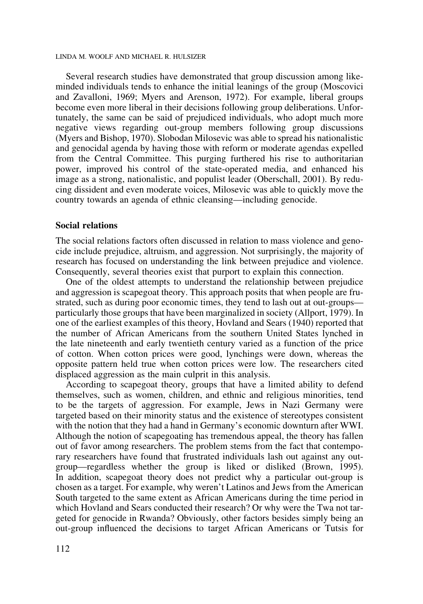Several research studies have demonstrated that group discussion among likeminded individuals tends to enhance the initial leanings of the group (Moscovici and Zavalloni, 1969; Myers and Arenson, 1972). For example, liberal groups become even more liberal in their decisions following group deliberations. Unfortunately, the same can be said of prejudiced individuals, who adopt much more negative views regarding out-group members following group discussions (Myers and Bishop, 1970). Slobodan Milosevic was able to spread his nationalistic and genocidal agenda by having those with reform or moderate agendas expelled from the Central Committee. This purging furthered his rise to authoritarian power, improved his control of the state-operated media, and enhanced his image as a strong, nationalistic, and populist leader (Oberschall, 2001). By reducing dissident and even moderate voices, Milosevic was able to quickly move the country towards an agenda of ethnic cleansing—including genocide.

#### Social relations

The social relations factors often discussed in relation to mass violence and genocide include prejudice, altruism, and aggression. Not surprisingly, the majority of research has focused on understanding the link between prejudice and violence. Consequently, several theories exist that purport to explain this connection.

One of the oldest attempts to understand the relationship between prejudice and aggression is scapegoat theory. This approach posits that when people are frustrated, such as during poor economic times, they tend to lash out at out-groups particularly those groups that have been marginalized in society (Allport, 1979). In one of the earliest examples of this theory, Hovland and Sears (1940) reported that the number of African Americans from the southern United States lynched in the late nineteenth and early twentieth century varied as a function of the price of cotton. When cotton prices were good, lynchings were down, whereas the opposite pattern held true when cotton prices were low. The researchers cited displaced aggression as the main culprit in this analysis.

According to scapegoat theory, groups that have a limited ability to defend themselves, such as women, children, and ethnic and religious minorities, tend to be the targets of aggression. For example, Jews in Nazi Germany were targeted based on their minority status and the existence of stereotypes consistent with the notion that they had a hand in Germany's economic downturn after WWI. Although the notion of scapegoating has tremendous appeal, the theory has fallen out of favor among researchers. The problem stems from the fact that contemporary researchers have found that frustrated individuals lash out against any outgroup—regardless whether the group is liked or disliked (Brown, 1995). In addition, scapegoat theory does not predict why a particular out-group is chosen as a target. For example, why weren't Latinos and Jews from the American South targeted to the same extent as African Americans during the time period in which Hovland and Sears conducted their research? Or why were the Twa not targeted for genocide in Rwanda? Obviously, other factors besides simply being an out-group influenced the decisions to target African Americans or Tutsis for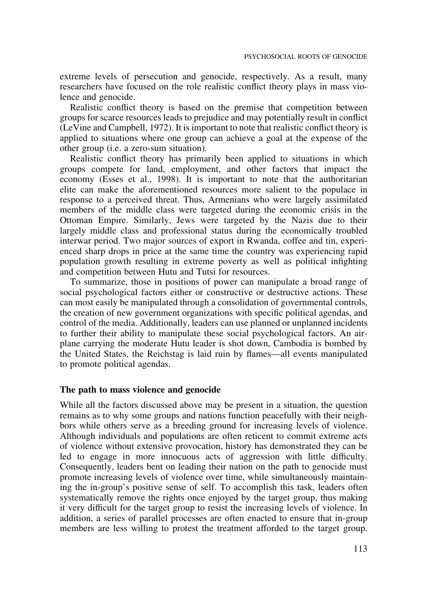extreme levels of persecution and genocide, respectively. As a result, many researchers have focused on the role realistic conflict theory plays in mass violence and genocide.

Realistic conflict theory is based on the premise that competition between groups for scarce resources leads to prejudice and may potentially result in conflict (LeVine and Campbell, 1972). It is important to note that realistic conflict theory is applied to situations where one group can achieve a goal at the expense of the other group (i.e. a zero-sum situation).

Realistic conflict theory has primarily been applied to situations in which groups compete for land, employment, and other factors that impact the economy (Esses et al., 1998). It is important to note that the authoritarian elite can make the aforementioned resources more salient to the populace in response to a perceived threat. Thus, Armenians who were largely assimilated members of the middle class were targeted during the economic crisis in the Ottoman Empire. Similarly, Jews were targeted by the Nazis due to their largely middle class and professional status during the economically troubled interwar period. Two major sources of export in Rwanda, coffee and tin, experienced sharp drops in price at the same time the country was experiencing rapid population growth resulting in extreme poverty as well as political infighting and competition between Hutu and Tutsi for resources.

To summarize, those in positions of power can manipulate a broad range of social psychological factors either or constructive or destructive actions. These can most easily be manipulated through a consolidation of governmental controls, the creation of new government organizations with specific political agendas, and control of the media. Additionally, leaders can use planned or unplanned incidents to further their ability to manipulate these social psychological factors. An airplane carrying the moderate Hutu leader is shot down, Cambodia is bombed by the United States, the Reichstag is laid ruin by flames—all events manipulated to promote political agendas.

## The path to mass violence and genocide

While all the factors discussed above may be present in a situation, the question remains as to why some groups and nations function peacefully with their neighbors while others serve as a breeding ground for increasing levels of violence. Although individuals and populations are often reticent to commit extreme acts of violence without extensive provocation, history has demonstrated they can be led to engage in more innocuous acts of aggression with little difficulty. Consequently, leaders bent on leading their nation on the path to genocide must promote increasing levels of violence over time, while simultaneously maintaining the in-group's positive sense of self. To accomplish this task, leaders often systematically remove the rights once enjoyed by the target group, thus making it very difficult for the target group to resist the increasing levels of violence. In addition, a series of parallel processes are often enacted to ensure that in-group members are less willing to protest the treatment afforded to the target group.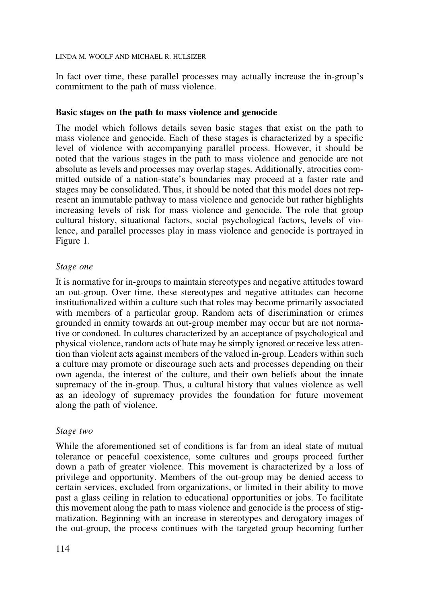In fact over time, these parallel processes may actually increase the in-group's commitment to the path of mass violence.

## Basic stages on the path to mass violence and genocide

The model which follows details seven basic stages that exist on the path to mass violence and genocide. Each of these stages is characterized by a specific level of violence with accompanying parallel process. However, it should be noted that the various stages in the path to mass violence and genocide are not absolute as levels and processes may overlap stages. Additionally, atrocities committed outside of a nation-state's boundaries may proceed at a faster rate and stages may be consolidated. Thus, it should be noted that this model does not represent an immutable pathway to mass violence and genocide but rather highlights increasing levels of risk for mass violence and genocide. The role that group cultural history, situational factors, social psychological factors, levels of violence, and parallel processes play in mass violence and genocide is portrayed in Figure 1.

## Stage one

It is normative for in-groups to maintain stereotypes and negative attitudes toward an out-group. Over time, these stereotypes and negative attitudes can become institutionalized within a culture such that roles may become primarily associated with members of a particular group. Random acts of discrimination or crimes grounded in enmity towards an out-group member may occur but are not normative or condoned. In cultures characterized by an acceptance of psychological and physical violence, random acts of hate may be simply ignored or receive less attention than violent acts against members of the valued in-group. Leaders within such a culture may promote or discourage such acts and processes depending on their own agenda, the interest of the culture, and their own beliefs about the innate supremacy of the in-group. Thus, a cultural history that values violence as well as an ideology of supremacy provides the foundation for future movement along the path of violence.

# Stage two

While the aforementioned set of conditions is far from an ideal state of mutual tolerance or peaceful coexistence, some cultures and groups proceed further down a path of greater violence. This movement is characterized by a loss of privilege and opportunity. Members of the out-group may be denied access to certain services, excluded from organizations, or limited in their ability to move past a glass ceiling in relation to educational opportunities or jobs. To facilitate this movement along the path to mass violence and genocide is the process of stigmatization. Beginning with an increase in stereotypes and derogatory images of the out-group, the process continues with the targeted group becoming further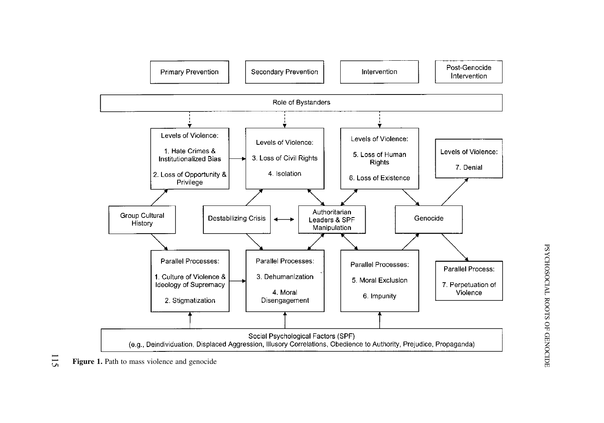

Figure 1. Path to mass violence and genocide

 $115$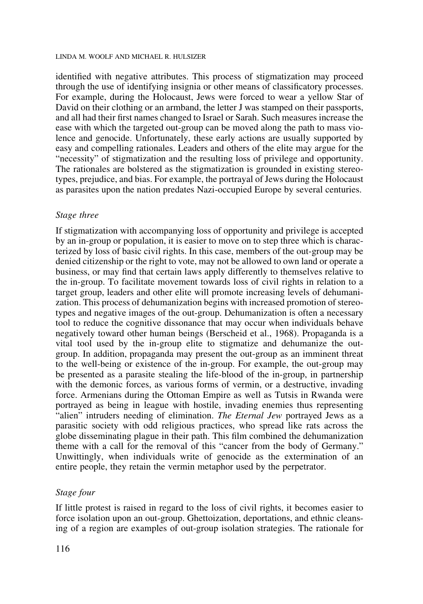identified with negative attributes. This process of stigmatization may proceed through the use of identifying insignia or other means of classificatory processes. For example, during the Holocaust, Jews were forced to wear a yellow Star of David on their clothing or an armband, the letter J was stamped on their passports, and all had their first names changed to Israel or Sarah. Such measures increase the ease with which the targeted out-group can be moved along the path to mass violence and genocide. Unfortunately, these early actions are usually supported by easy and compelling rationales. Leaders and others of the elite may argue for the "necessity" of stigmatization and the resulting loss of privilege and opportunity. The rationales are bolstered as the stigmatization is grounded in existing stereotypes, prejudice, and bias. For example, the portrayal of Jews during the Holocaust as parasites upon the nation predates Nazi-occupied Europe by several centuries.

### Stage three

If stigmatization with accompanying loss of opportunity and privilege is accepted by an in-group or population, it is easier to move on to step three which is characterized by loss of basic civil rights. In this case, members of the out-group may be denied citizenship or the right to vote, may not be allowed to own land or operate a business, or may find that certain laws apply differently to themselves relative to the in-group. To facilitate movement towards loss of civil rights in relation to a target group, leaders and other elite will promote increasing levels of dehumanization. This process of dehumanization begins with increased promotion of stereotypes and negative images of the out-group. Dehumanization is often a necessary tool to reduce the cognitive dissonance that may occur when individuals behave negatively toward other human beings (Berscheid et al., 1968). Propaganda is a vital tool used by the in-group elite to stigmatize and dehumanize the outgroup. In addition, propaganda may present the out-group as an imminent threat to the well-being or existence of the in-group. For example, the out-group may be presented as a parasite stealing the life-blood of the in-group, in partnership with the demonic forces, as various forms of vermin, or a destructive, invading force. Armenians during the Ottoman Empire as well as Tutsis in Rwanda were portrayed as being in league with hostile, invading enemies thus representing "alien" intruders needing of elimination. The Eternal Jew portrayed Jews as a parasitic society with odd religious practices, who spread like rats across the globe disseminating plague in their path. This film combined the dehumanization theme with a call for the removal of this "cancer from the body of Germany." Unwittingly, when individuals write of genocide as the extermination of an entire people, they retain the vermin metaphor used by the perpetrator.

## Stage four

If little protest is raised in regard to the loss of civil rights, it becomes easier to force isolation upon an out-group. Ghettoization, deportations, and ethnic cleansing of a region are examples of out-group isolation strategies. The rationale for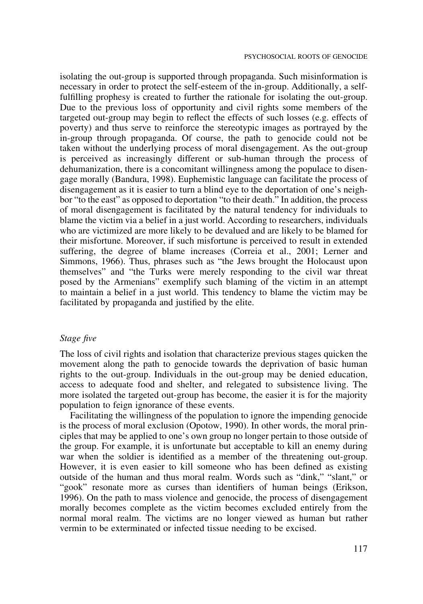isolating the out-group is supported through propaganda. Such misinformation is necessary in order to protect the self-esteem of the in-group. Additionally, a selffulfilling prophesy is created to further the rationale for isolating the out-group. Due to the previous loss of opportunity and civil rights some members of the targeted out-group may begin to reflect the effects of such losses (e.g. effects of poverty) and thus serve to reinforce the stereotypic images as portrayed by the in-group through propaganda. Of course, the path to genocide could not be taken without the underlying process of moral disengagement. As the out-group is perceived as increasingly different or sub-human through the process of dehumanization, there is a concomitant willingness among the populace to disengage morally (Bandura, 1998). Euphemistic language can facilitate the process of disengagement as it is easier to turn a blind eye to the deportation of one's neighbor "to the east" as opposed to deportation "to their death." In addition, the process of moral disengagement is facilitated by the natural tendency for individuals to blame the victim via a belief in a just world. According to researchers, individuals who are victimized are more likely to be devalued and are likely to be blamed for their misfortune. Moreover, if such misfortune is perceived to result in extended suffering, the degree of blame increases (Correia et al., 2001; Lerner and Simmons, 1966). Thus, phrases such as "the Jews brought the Holocaust upon themselves" and "the Turks were merely responding to the civil war threat posed by the Armenians" exemplify such blaming of the victim in an attempt to maintain a belief in a just world. This tendency to blame the victim may be facilitated by propaganda and justified by the elite.

# Stage five

The loss of civil rights and isolation that characterize previous stages quicken the movement along the path to genocide towards the deprivation of basic human rights to the out-group. Individuals in the out-group may be denied education, access to adequate food and shelter, and relegated to subsistence living. The more isolated the targeted out-group has become, the easier it is for the majority population to feign ignorance of these events.

Facilitating the willingness of the population to ignore the impending genocide is the process of moral exclusion (Opotow, 1990). In other words, the moral principles that may be applied to one's own group no longer pertain to those outside of the group. For example, it is unfortunate but acceptable to kill an enemy during war when the soldier is identified as a member of the threatening out-group. However, it is even easier to kill someone who has been defined as existing outside of the human and thus moral realm. Words such as "dink," "slant," or "gook" resonate more as curses than identifiers of human beings (Erikson, 1996). On the path to mass violence and genocide, the process of disengagement morally becomes complete as the victim becomes excluded entirely from the normal moral realm. The victims are no longer viewed as human but rather vermin to be exterminated or infected tissue needing to be excised.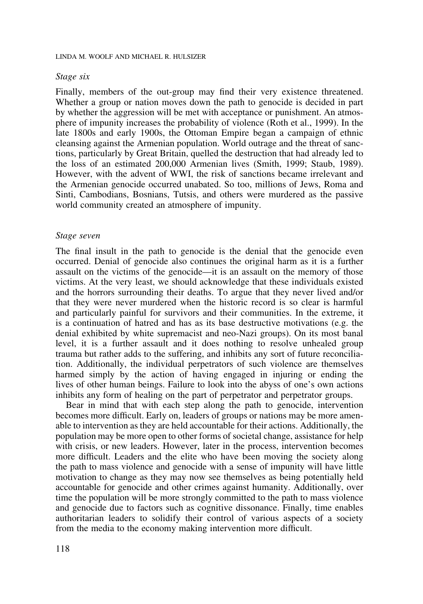#### Stage six

Finally, members of the out-group may find their very existence threatened. Whether a group or nation moves down the path to genocide is decided in part by whether the aggression will be met with acceptance or punishment. An atmosphere of impunity increases the probability of violence (Roth et al., 1999). In the late 1800s and early 1900s, the Ottoman Empire began a campaign of ethnic cleansing against the Armenian population. World outrage and the threat of sanctions, particularly by Great Britain, quelled the destruction that had already led to the loss of an estimated 200,000 Armenian lives (Smith, 1999; Staub, 1989). However, with the advent of WWI, the risk of sanctions became irrelevant and the Armenian genocide occurred unabated. So too, millions of Jews, Roma and Sinti, Cambodians, Bosnians, Tutsis, and others were murdered as the passive world community created an atmosphere of impunity.

#### Stage seven

The final insult in the path to genocide is the denial that the genocide even occurred. Denial of genocide also continues the original harm as it is a further assault on the victims of the genocide—it is an assault on the memory of those victims. At the very least, we should acknowledge that these individuals existed and the horrors surrounding their deaths. To argue that they never lived and/or that they were never murdered when the historic record is so clear is harmful and particularly painful for survivors and their communities. In the extreme, it is a continuation of hatred and has as its base destructive motivations (e.g. the denial exhibited by white supremacist and neo-Nazi groups). On its most banal level, it is a further assault and it does nothing to resolve unhealed group trauma but rather adds to the suffering, and inhibits any sort of future reconciliation. Additionally, the individual perpetrators of such violence are themselves harmed simply by the action of having engaged in injuring or ending the lives of other human beings. Failure to look into the abyss of one's own actions inhibits any form of healing on the part of perpetrator and perpetrator groups.

Bear in mind that with each step along the path to genocide, intervention becomes more difficult. Early on, leaders of groups or nations may be more amenable to intervention as they are held accountable for their actions. Additionally, the population may be more open to other forms of societal change, assistance for help with crisis, or new leaders. However, later in the process, intervention becomes more difficult. Leaders and the elite who have been moving the society along the path to mass violence and genocide with a sense of impunity will have little motivation to change as they may now see themselves as being potentially held accountable for genocide and other crimes against humanity. Additionally, over time the population will be more strongly committed to the path to mass violence and genocide due to factors such as cognitive dissonance. Finally, time enables authoritarian leaders to solidify their control of various aspects of a society from the media to the economy making intervention more difficult.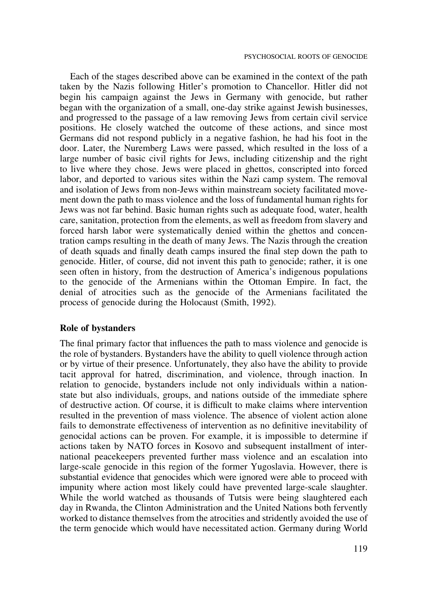Each of the stages described above can be examined in the context of the path taken by the Nazis following Hitler's promotion to Chancellor. Hitler did not begin his campaign against the Jews in Germany with genocide, but rather began with the organization of a small, one-day strike against Jewish businesses, and progressed to the passage of a law removing Jews from certain civil service positions. He closely watched the outcome of these actions, and since most Germans did not respond publicly in a negative fashion, he had his foot in the door. Later, the Nuremberg Laws were passed, which resulted in the loss of a large number of basic civil rights for Jews, including citizenship and the right to live where they chose. Jews were placed in ghettos, conscripted into forced labor, and deported to various sites within the Nazi camp system. The removal and isolation of Jews from non-Jews within mainstream society facilitated movement down the path to mass violence and the loss of fundamental human rights for Jews was not far behind. Basic human rights such as adequate food, water, health care, sanitation, protection from the elements, as well as freedom from slavery and forced harsh labor were systematically denied within the ghettos and concentration camps resulting in the death of many Jews. The Nazis through the creation of death squads and finally death camps insured the final step down the path to genocide. Hitler, of course, did not invent this path to genocide; rather, it is one seen often in history, from the destruction of America's indigenous populations to the genocide of the Armenians within the Ottoman Empire. In fact, the denial of atrocities such as the genocide of the Armenians facilitated the process of genocide during the Holocaust (Smith, 1992).

## Role of bystanders

The final primary factor that influences the path to mass violence and genocide is the role of bystanders. Bystanders have the ability to quell violence through action or by virtue of their presence. Unfortunately, they also have the ability to provide tacit approval for hatred, discrimination, and violence, through inaction. In relation to genocide, bystanders include not only individuals within a nationstate but also individuals, groups, and nations outside of the immediate sphere of destructive action. Of course, it is difficult to make claims where intervention resulted in the prevention of mass violence. The absence of violent action alone fails to demonstrate effectiveness of intervention as no definitive inevitability of genocidal actions can be proven. For example, it is impossible to determine if actions taken by NATO forces in Kosovo and subsequent installment of international peacekeepers prevented further mass violence and an escalation into large-scale genocide in this region of the former Yugoslavia. However, there is substantial evidence that genocides which were ignored were able to proceed with impunity where action most likely could have prevented large-scale slaughter. While the world watched as thousands of Tutsis were being slaughtered each day in Rwanda, the Clinton Administration and the United Nations both fervently worked to distance themselves from the atrocities and stridently avoided the use of the term genocide which would have necessitated action. Germany during World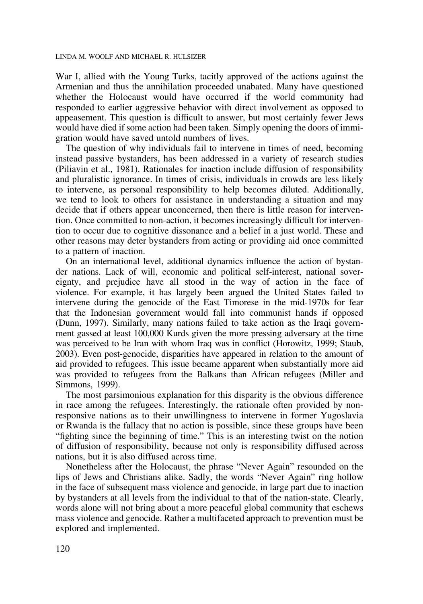War I, allied with the Young Turks, tacitly approved of the actions against the Armenian and thus the annihilation proceeded unabated. Many have questioned whether the Holocaust would have occurred if the world community had responded to earlier aggressive behavior with direct involvement as opposed to appeasement. This question is difficult to answer, but most certainly fewer Jews would have died if some action had been taken. Simply opening the doors of immigration would have saved untold numbers of lives.

The question of why individuals fail to intervene in times of need, becoming instead passive bystanders, has been addressed in a variety of research studies (Piliavin et al., 1981). Rationales for inaction include diffusion of responsibility and pluralistic ignorance. In times of crisis, individuals in crowds are less likely to intervene, as personal responsibility to help becomes diluted. Additionally, we tend to look to others for assistance in understanding a situation and may decide that if others appear unconcerned, then there is little reason for intervention. Once committed to non-action, it becomes increasingly difficult for intervention to occur due to cognitive dissonance and a belief in a just world. These and other reasons may deter bystanders from acting or providing aid once committed to a pattern of inaction.

On an international level, additional dynamics influence the action of bystander nations. Lack of will, economic and political self-interest, national sovereignty, and prejudice have all stood in the way of action in the face of violence. For example, it has largely been argued the United States failed to intervene during the genocide of the East Timorese in the mid-1970s for fear that the Indonesian government would fall into communist hands if opposed (Dunn, 1997). Similarly, many nations failed to take action as the Iraqi government gassed at least 100,000 Kurds given the more pressing adversary at the time was perceived to be Iran with whom Iraq was in conflict (Horowitz, 1999; Staub, 2003). Even post-genocide, disparities have appeared in relation to the amount of aid provided to refugees. This issue became apparent when substantially more aid was provided to refugees from the Balkans than African refugees (Miller and Simmons, 1999).

The most parsimonious explanation for this disparity is the obvious difference in race among the refugees. Interestingly, the rationale often provided by nonresponsive nations as to their unwillingness to intervene in former Yugoslavia or Rwanda is the fallacy that no action is possible, since these groups have been "fighting since the beginning of time." This is an interesting twist on the notion of diffusion of responsibility, because not only is responsibility diffused across nations, but it is also diffused across time.

Nonetheless after the Holocaust, the phrase "Never Again" resounded on the lips of Jews and Christians alike. Sadly, the words "Never Again" ring hollow in the face of subsequent mass violence and genocide, in large part due to inaction by bystanders at all levels from the individual to that of the nation-state. Clearly, words alone will not bring about a more peaceful global community that eschews mass violence and genocide. Rather a multifaceted approach to prevention must be explored and implemented.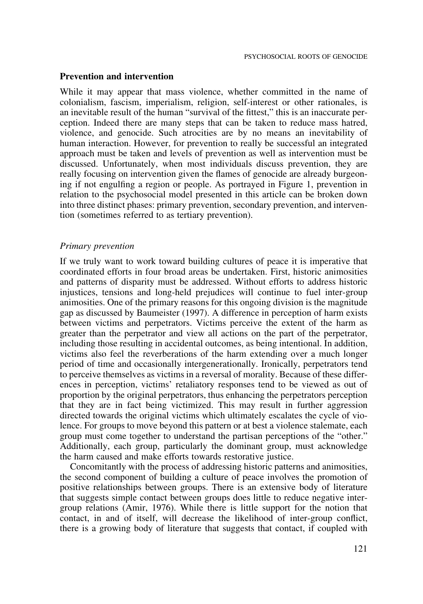## Prevention and intervention

While it may appear that mass violence, whether committed in the name of colonialism, fascism, imperialism, religion, self-interest or other rationales, is an inevitable result of the human "survival of the fittest," this is an inaccurate perception. Indeed there are many steps that can be taken to reduce mass hatred, violence, and genocide. Such atrocities are by no means an inevitability of human interaction. However, for prevention to really be successful an integrated approach must be taken and levels of prevention as well as intervention must be discussed. Unfortunately, when most individuals discuss prevention, they are really focusing on intervention given the flames of genocide are already burgeoning if not engulfing a region or people. As portrayed in Figure 1, prevention in relation to the psychosocial model presented in this article can be broken down into three distinct phases: primary prevention, secondary prevention, and intervention (sometimes referred to as tertiary prevention).

## Primary prevention

If we truly want to work toward building cultures of peace it is imperative that coordinated efforts in four broad areas be undertaken. First, historic animosities and patterns of disparity must be addressed. Without efforts to address historic injustices, tensions and long-held prejudices will continue to fuel inter-group animosities. One of the primary reasons for this ongoing division is the magnitude gap as discussed by Baumeister (1997). A difference in perception of harm exists between victims and perpetrators. Victims perceive the extent of the harm as greater than the perpetrator and view all actions on the part of the perpetrator, including those resulting in accidental outcomes, as being intentional. In addition, victims also feel the reverberations of the harm extending over a much longer period of time and occasionally intergenerationally. Ironically, perpetrators tend to perceive themselves as victims in a reversal of morality. Because of these differences in perception, victims' retaliatory responses tend to be viewed as out of proportion by the original perpetrators, thus enhancing the perpetrators perception that they are in fact being victimized. This may result in further aggression directed towards the original victims which ultimately escalates the cycle of violence. For groups to move beyond this pattern or at best a violence stalemate, each group must come together to understand the partisan perceptions of the "other." Additionally, each group, particularly the dominant group, must acknowledge the harm caused and make efforts towards restorative justice.

Concomitantly with the process of addressing historic patterns and animosities, the second component of building a culture of peace involves the promotion of positive relationships between groups. There is an extensive body of literature that suggests simple contact between groups does little to reduce negative intergroup relations (Amir, 1976). While there is little support for the notion that contact, in and of itself, will decrease the likelihood of inter-group conflict, there is a growing body of literature that suggests that contact, if coupled with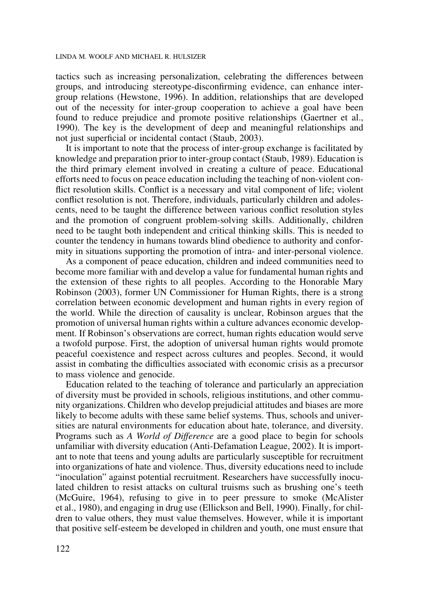tactics such as increasing personalization, celebrating the differences between groups, and introducing stereotype-disconfirming evidence, can enhance intergroup relations (Hewstone, 1996). In addition, relationships that are developed out of the necessity for inter-group cooperation to achieve a goal have been found to reduce prejudice and promote positive relationships (Gaertner et al., 1990). The key is the development of deep and meaningful relationships and not just superficial or incidental contact (Staub, 2003).

It is important to note that the process of inter-group exchange is facilitated by knowledge and preparation prior to inter-group contact (Staub, 1989). Education is the third primary element involved in creating a culture of peace. Educational efforts need to focus on peace education including the teaching of non-violent conflict resolution skills. Conflict is a necessary and vital component of life; violent conflict resolution is not. Therefore, individuals, particularly children and adolescents, need to be taught the difference between various conflict resolution styles and the promotion of congruent problem-solving skills. Additionally, children need to be taught both independent and critical thinking skills. This is needed to counter the tendency in humans towards blind obedience to authority and conformity in situations supporting the promotion of intra- and inter-personal violence.

As a component of peace education, children and indeed communities need to become more familiar with and develop a value for fundamental human rights and the extension of these rights to all peoples. According to the Honorable Mary Robinson (2003), former UN Commissioner for Human Rights, there is a strong correlation between economic development and human rights in every region of the world. While the direction of causality is unclear, Robinson argues that the promotion of universal human rights within a culture advances economic development. If Robinson's observations are correct, human rights education would serve a twofold purpose. First, the adoption of universal human rights would promote peaceful coexistence and respect across cultures and peoples. Second, it would assist in combating the difficulties associated with economic crisis as a precursor to mass violence and genocide.

Education related to the teaching of tolerance and particularly an appreciation of diversity must be provided in schools, religious institutions, and other community organizations. Children who develop prejudicial attitudes and biases are more likely to become adults with these same belief systems. Thus, schools and universities are natural environments for education about hate, tolerance, and diversity. Programs such as A World of Difference are a good place to begin for schools unfamiliar with diversity education (Anti-Defamation League, 2002). It is important to note that teens and young adults are particularly susceptible for recruitment into organizations of hate and violence. Thus, diversity educations need to include "inoculation" against potential recruitment. Researchers have successfully inoculated children to resist attacks on cultural truisms such as brushing one's teeth (McGuire, 1964), refusing to give in to peer pressure to smoke (McAlister et al., 1980), and engaging in drug use (Ellickson and Bell, 1990). Finally, for children to value others, they must value themselves. However, while it is important that positive self-esteem be developed in children and youth, one must ensure that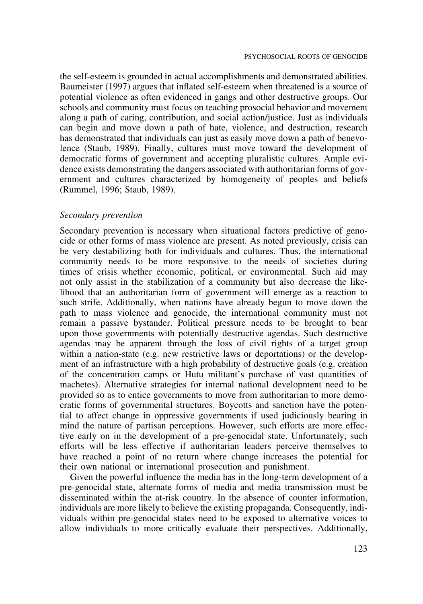the self-esteem is grounded in actual accomplishments and demonstrated abilities. Baumeister (1997) argues that inflated self-esteem when threatened is a source of potential violence as often evidenced in gangs and other destructive groups. Our schools and community must focus on teaching prosocial behavior and movement along a path of caring, contribution, and social action/justice. Just as individuals can begin and move down a path of hate, violence, and destruction, research has demonstrated that individuals can just as easily move down a path of benevolence (Staub, 1989). Finally, cultures must move toward the development of democratic forms of government and accepting pluralistic cultures. Ample evidence exists demonstrating the dangers associated with authoritarian forms of government and cultures characterized by homogeneity of peoples and beliefs (Rummel, 1996; Staub, 1989).

## Secondary prevention

Secondary prevention is necessary when situational factors predictive of genocide or other forms of mass violence are present. As noted previously, crisis can be very destabilizing both for individuals and cultures. Thus, the international community needs to be more responsive to the needs of societies during times of crisis whether economic, political, or environmental. Such aid may not only assist in the stabilization of a community but also decrease the likelihood that an authoritarian form of government will emerge as a reaction to such strife. Additionally, when nations have already begun to move down the path to mass violence and genocide, the international community must not remain a passive bystander. Political pressure needs to be brought to bear upon those governments with potentially destructive agendas. Such destructive agendas may be apparent through the loss of civil rights of a target group within a nation-state (e.g. new restrictive laws or deportations) or the development of an infrastructure with a high probability of destructive goals (e.g. creation of the concentration camps or Hutu militant's purchase of vast quantities of machetes). Alternative strategies for internal national development need to be provided so as to entice governments to move from authoritarian to more democratic forms of governmental structures. Boycotts and sanction have the potential to affect change in oppressive governments if used judiciously bearing in mind the nature of partisan perceptions. However, such efforts are more effective early on in the development of a pre-genocidal state. Unfortunately, such efforts will be less effective if authoritarian leaders perceive themselves to have reached a point of no return where change increases the potential for their own national or international prosecution and punishment.

Given the powerful influence the media has in the long-term development of a pre-genocidal state, alternate forms of media and media transmission must be disseminated within the at-risk country. In the absence of counter information, individuals are more likely to believe the existing propaganda. Consequently, individuals within pre-genocidal states need to be exposed to alternative voices to allow individuals to more critically evaluate their perspectives. Additionally,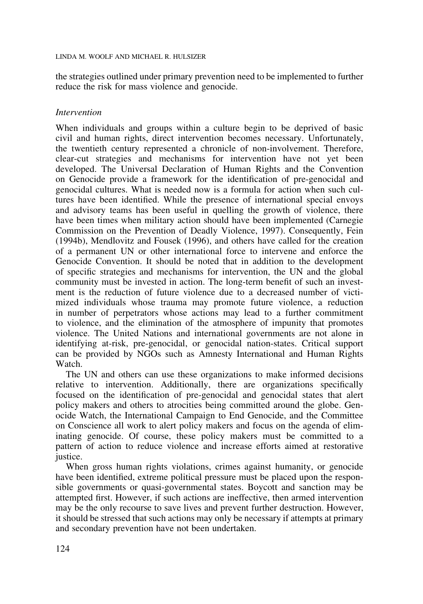the strategies outlined under primary prevention need to be implemented to further reduce the risk for mass violence and genocide.

# Intervention

When individuals and groups within a culture begin to be deprived of basic civil and human rights, direct intervention becomes necessary. Unfortunately, the twentieth century represented a chronicle of non-involvement. Therefore, clear-cut strategies and mechanisms for intervention have not yet been developed. The Universal Declaration of Human Rights and the Convention on Genocide provide a framework for the identification of pre-genocidal and genocidal cultures. What is needed now is a formula for action when such cultures have been identified. While the presence of international special envoys and advisory teams has been useful in quelling the growth of violence, there have been times when military action should have been implemented (Carnegie Commission on the Prevention of Deadly Violence, 1997). Consequently, Fein (1994b), Mendlovitz and Fousek (1996), and others have called for the creation of a permanent UN or other international force to intervene and enforce the Genocide Convention. It should be noted that in addition to the development of specific strategies and mechanisms for intervention, the UN and the global community must be invested in action. The long-term benefit of such an investment is the reduction of future violence due to a decreased number of victimized individuals whose trauma may promote future violence, a reduction in number of perpetrators whose actions may lead to a further commitment to violence, and the elimination of the atmosphere of impunity that promotes violence. The United Nations and international governments are not alone in identifying at-risk, pre-genocidal, or genocidal nation-states. Critical support can be provided by NGOs such as Amnesty International and Human Rights Watch.

The UN and others can use these organizations to make informed decisions relative to intervention. Additionally, there are organizations specifically focused on the identification of pre-genocidal and genocidal states that alert policy makers and others to atrocities being committed around the globe. Genocide Watch, the International Campaign to End Genocide, and the Committee on Conscience all work to alert policy makers and focus on the agenda of eliminating genocide. Of course, these policy makers must be committed to a pattern of action to reduce violence and increase efforts aimed at restorative justice.

When gross human rights violations, crimes against humanity, or genocide have been identified, extreme political pressure must be placed upon the responsible governments or quasi-governmental states. Boycott and sanction may be attempted first. However, if such actions are ineffective, then armed intervention may be the only recourse to save lives and prevent further destruction. However, it should be stressed that such actions may only be necessary if attempts at primary and secondary prevention have not been undertaken.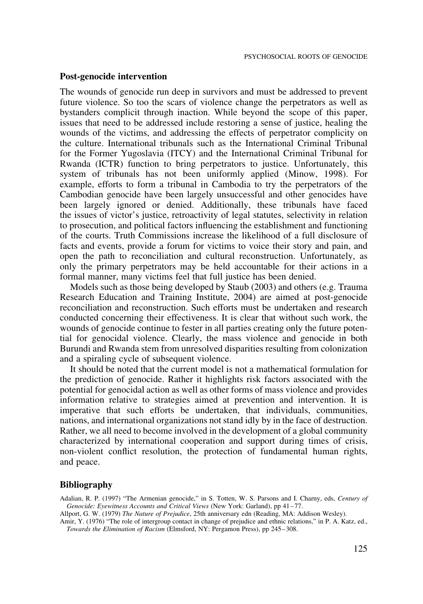#### Post-genocide intervention

The wounds of genocide run deep in survivors and must be addressed to prevent future violence. So too the scars of violence change the perpetrators as well as bystanders complicit through inaction. While beyond the scope of this paper, issues that need to be addressed include restoring a sense of justice, healing the wounds of the victims, and addressing the effects of perpetrator complicity on the culture. International tribunals such as the International Criminal Tribunal for the Former Yugoslavia (ITCY) and the International Criminal Tribunal for Rwanda (ICTR) function to bring perpetrators to justice. Unfortunately, this system of tribunals has not been uniformly applied (Minow, 1998). For example, efforts to form a tribunal in Cambodia to try the perpetrators of the Cambodian genocide have been largely unsuccessful and other genocides have been largely ignored or denied. Additionally, these tribunals have faced the issues of victor's justice, retroactivity of legal statutes, selectivity in relation to prosecution, and political factors influencing the establishment and functioning of the courts. Truth Commissions increase the likelihood of a full disclosure of facts and events, provide a forum for victims to voice their story and pain, and open the path to reconciliation and cultural reconstruction. Unfortunately, as only the primary perpetrators may be held accountable for their actions in a formal manner, many victims feel that full justice has been denied.

Models such as those being developed by Staub (2003) and others (e.g. Trauma Research Education and Training Institute, 2004) are aimed at post-genocide reconciliation and reconstruction. Such efforts must be undertaken and research conducted concerning their effectiveness. It is clear that without such work, the wounds of genocide continue to fester in all parties creating only the future potential for genocidal violence. Clearly, the mass violence and genocide in both Burundi and Rwanda stem from unresolved disparities resulting from colonization and a spiraling cycle of subsequent violence.

It should be noted that the current model is not a mathematical formulation for the prediction of genocide. Rather it highlights risk factors associated with the potential for genocidal action as well as other forms of mass violence and provides information relative to strategies aimed at prevention and intervention. It is imperative that such efforts be undertaken, that individuals, communities, nations, and international organizations not stand idly by in the face of destruction. Rather, we all need to become involved in the development of a global community characterized by international cooperation and support during times of crisis, non-violent conflict resolution, the protection of fundamental human rights, and peace.

#### Bibliography

Adalian, R. P. (1997) "The Armenian genocide," in S. Totten, W. S. Parsons and I. Charny, eds, Century of Genocide: Eyewitness Accounts and Critical Views (New York: Garland), pp 41-77.

Allport, G. W. (1979) The Nature of Prejudice, 25th anniversary edn (Reading, MA: Addison Wesley).

Amir, Y. (1976) "The role of intergroup contact in change of prejudice and ethnic relations," in P. A. Katz, ed., Towards the Elimination of Racism (Elmsford, NY: Pergamon Press), pp 245–308.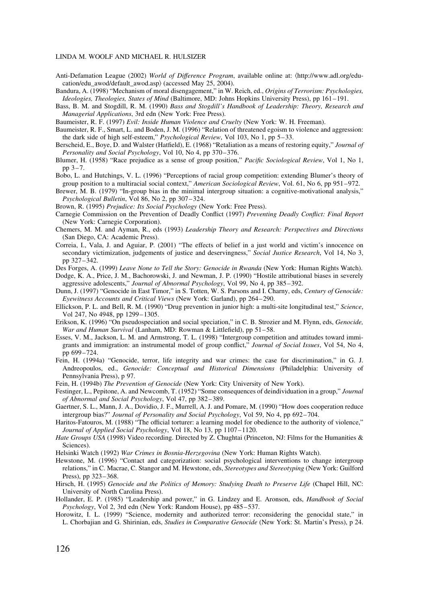- Anti-Defamation League (2002) World of Difference Program, available online at: khttp://www.adl.org/education/edu\_awod/default\_awod.asp) (accessed May 25, 2004).
- Bandura, A. (1998) "Mechanism of moral disengagement," in W. Reich, ed., Origins of Terrorism: Psychologies, Ideologies, Theologies, States of Mind (Baltimore, MD: Johns Hopkins University Press), pp 161 –191.
- Bass, B. M. and Stogdill, R. M. (1990) Bass and Stogdill's Handbook of Leadership: Theory, Research and Managerial Applications, 3rd edn (New York: Free Press).
- Baumeister, R. F. (1997) Evil: Inside Human Violence and Cruelty (New York: W. H. Freeman).
- Baumeister, R. F., Smart, L. and Boden, J. M. (1996) "Relation of threatened egoism to violence and aggression: the dark side of high self-esteem," Psychological Review, Vol 103, No 1, pp 5–33.
- Berscheid, E., Boye, D. and Walster (Hatfield), E. (1968) "Retaliation as a means of restoring equity," *Journal of* Personality and Social Psychology, Vol 10, No 4, pp 370-376.
- Blumer, H. (1958) "Race prejudice as a sense of group position," Pacific Sociological Review, Vol 1, No 1, pp 3–7.
- Bobo, L. and Hutchings, V. L. (1996) "Perceptions of racial group competition: extending Blumer's theory of group position to a multiracial social context," American Sociological Review, Vol. 61, No 6, pp 951–972.
- Brewer, M. B. (1979) "In-group bias in the minimal intergroup situation: a cognitive-motivational analysis," Psychological Bulletin, Vol 86, No 2, pp 307 –324.
- Brown, R. (1995) Prejudice: Its Social Psychology (New York: Free Press).
- Carnegie Commission on the Prevention of Deadly Conflict (1997) Preventing Deadly Conflict: Final Report (New York: Carnegie Corporation).
- Chemers, M. M. and Ayman, R., eds (1993) Leadership Theory and Research: Perspectives and Directions (San Diego, CA: Academic Press).
- Correia, I., Vala, J. and Aguiar, P. (2001) "The effects of belief in a just world and victim's innocence on secondary victimization, judgements of justice and deservingness," Social Justice Research, Vol 14, No 3, pp 327–342.
- Des Forges, A. (1999) Leave None to Tell the Story: Genocide in Rwanda (New York: Human Rights Watch).
- Dodge, K. A., Price, J. M., Bachorowski, J. and Newman, J. P. (1990) "Hostile attributional biases in severely aggressive adolescents," Journal of Abnormal Psychology, Vol 99, No 4, pp 385– 392.
- Dunn, J. (1997) "Genocide in East Timor," in S. Totten, W. S. Parsons and I. Charny, eds, Century of Genocide: Eyewitness Accounts and Critical Views (New York: Garland), pp 264– 290.
- Ellickson, P. L. and Bell, R. M. (1990) "Drug prevention in junior high: a multi-site longitudinal test," Science, Vol 247, No 4948, pp 1299–1305.
- Erikson, K. (1996) "On pseudospeciation and social speciation," in C. B. Strozier and M. Flynn, eds, Genocide, War and Human Survival (Lanham, MD: Rowman & Littlefield), pp 51–58.
- Esses, V. M., Jackson, L. M. and Armstrong, T. L. (1998) "Intergroup competition and attitudes toward immigrants and immigration: an instrumental model of group conflict," Journal of Social Issues, Vol 54, No 4, pp 699–724.
- Fein, H. (1994a) "Genocide, terror, life integrity and war crimes: the case for discrimination," in G. J. Andreopoulos, ed., Genocide: Conceptual and Historical Dimensions (Philadelphia: University of Pennsylvania Press), p 97.
- Fein, H. (1994b) The Prevention of Genocide (New York: City University of New York).
- Festinger, L., Pepitone, A. and Newcomb, T. (1952) "Some consequences of deindividuation in a group," Journal of Abnormal and Social Psychology, Vol 47, pp 382– 389.
- Gaertner, S. L., Mann, J. A., Dovidio, J. F., Murrell, A. J. and Pomare, M. (1990) "How does cooperation reduce intergroup bias?" Journal of Personality and Social Psychology, Vol 59, No 4, pp 692–704.
- Haritos-Fatouros, M. (1988) "The official torturer: a learning model for obedience to the authority of violence," Journal of Applied Social Psychology, Vol 18, No 13, pp 1107–1120.
- Hate Groups USA (1998) Video recording. Directed by Z. Chughtai (Princeton, NJ: Films for the Humanities & Sciences).
- Helsinki Watch (1992) War Crimes in Bosnia-Herzegovina (New York: Human Rights Watch).
- Hewstone, M. (1996) "Contact and categorization: social psychological interventions to change intergroup relations," in C. Macrae, C. Stangor and M. Hewstone, eds, Stereotypes and Stereotyping (New York: Guilford Press), pp 323–368.
- Hirsch, H. (1995) Genocide and the Politics of Memory: Studying Death to Preserve Life (Chapel Hill, NC: University of North Carolina Press).
- Hollander, E. P. (1985) "Leadership and power," in G. Lindzey and E. Aronson, eds, Handbook of Social Psychology, Vol 2, 3rd edn (New York: Random House), pp 485–537.
- Horowitz, I. L. (1999) "Science, modernity and authorized terror: reconsidering the genocidal state," in L. Chorbajian and G. Shirinian, eds, Studies in Comparative Genocide (New York: St. Martin's Press), p 24.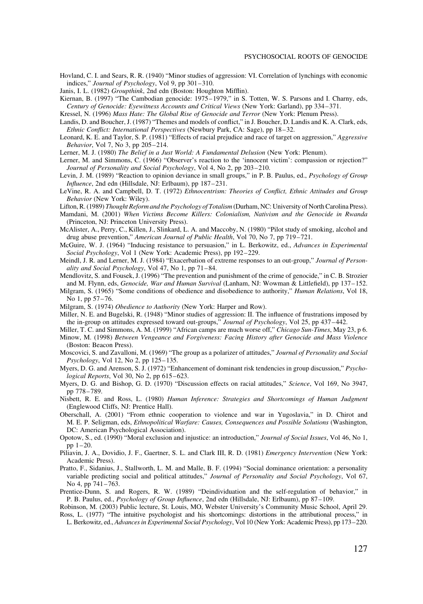- Hovland, C. I. and Sears, R. R. (1940) "Minor studies of aggression: VI. Correlation of lynchings with economic indices," Journal of Psychology, Vol 9, pp 301-310.
- Janis, I. L. (1982) Groupthink, 2nd edn (Boston: Houghton Mifflin).
- Kiernan, B. (1997) "The Cambodian genocide: 1975– 1979," in S. Totten, W. S. Parsons and I. Charny, eds, Century of Genocide: Eyewitness Accounts and Critical Views (New York: Garland), pp 334–371.
- Kressel, N. (1996) Mass Hate: The Global Rise of Genocide and Terror (New York: Plenum Press).
- Landis, D. and Boucher, J. (1987) "Themes and models of conflict," in J. Boucher, D. Landis and K. A. Clark, eds, Ethnic Conflict: International Perspectives (Newbury Park, CA: Sage), pp 18–32.
- Leonard, K. E. and Taylor, S. P. (1981) "Effects of racial prejudice and race of target on aggression," Aggressive Behavior, Vol 7, No 3, pp 205–214.
- Lerner, M. J. (1980) The Belief in a Just World: A Fundamental Delusion (New York: Plenum).
- Lerner, M. and Simmons, C. (1966) "Observer's reaction to the 'innocent victim': compassion or rejection?" Journal of Personality and Social Psychology, Vol 4, No 2, pp 203 –210.
- Levin, J. M. (1989) "Reaction to opinion deviance in small groups," in P. B. Paulus, ed., Psychology of Group Influence, 2nd edn (Hillsdale, NJ: Erlbaum), pp 187–231.
- LeVine, R. A. and Campbell, D. T. (1972) Ethnocentrism: Theories of Conflict, Ethnic Attitudes and Group Behavior (New York: Wiley).
- Lifton, R. (1989) Thought Reform and the Psychology of Totalism (Durham, NC: University of North Carolina Press).
- Mamdani, M. (2001) When Victims Become Killers: Colonialism, Nativism and the Genocide in Rwanda (Princeton, NJ: Princeton University Press).
- McAlister, A., Perry, C., Killen, J., Slinkard, L. A. and Maccoby, N. (1980) "Pilot study of smoking, alcohol and drug abuse prevention," American Journal of Public Health, Vol 70, No 7, pp 719–721.
- McGuire, W. J. (1964) "Inducing resistance to persuasion," in L. Berkowitz, ed., Advances in Experimental Social Psychology, Vol 1 (New York: Academic Press), pp 192–229.
- Meindl, J. R. and Lerner, M. J. (1984) "Exacerbation of extreme responses to an out-group," Journal of Personality and Social Psychology, Vol 47, No 1, pp 71–84.
- Mendlovitz, S. and Fousek, J. (1996) "The prevention and punishment of the crime of genocide," in C. B. Strozier and M. Flynn, eds, Genocide, War and Human Survival (Lanham, NJ: Wowman & Littlefield), pp 137-152.
- Milgram, S. (1965) "Some conditions of obedience and disobedience to authority," Human Relations, Vol 18, No 1, pp 57-76.
- Milgram, S. (1974) Obedience to Authority (New York: Harper and Row).
- Miller, N. E. and Bugelski, R. (1948) "Minor studies of aggression: II. The influence of frustrations imposed by the in-group on attitudes expressed toward out-groups," Journal of Psychology, Vol 25, pp 437–442.
- Miller, T. C. and Simmons, A. M. (1999) "African camps are much worse off," Chicago Sun-Times, May 23, p 6.
- Minow, M. (1998) Between Vengeance and Forgiveness: Facing History after Genocide and Mass Violence (Boston: Beacon Press).
- Moscovici, S. and Zavalloni, M. (1969) "The group as a polarizer of attitudes," Journal of Personality and Social Psychology, Vol 12, No 2, pp 125–135.
- Myers, D. G. and Arenson, S. J. (1972) "Enhancement of dominant risk tendencies in group discussion," Psychological Reports, Vol 30, No 2, pp 615–623.
- Myers, D. G. and Bishop, G. D. (1970) "Discussion effects on racial attitudes," Science, Vol 169, No 3947, pp 778– 789.
- Nisbett, R. E. and Ross, L. (1980) Human Inference: Strategies and Shortcomings of Human Judgment (Englewood Cliffs, NJ: Prentice Hall).
- Oberschall, A. (2001) "From ethnic cooperation to violence and war in Yugoslavia," in D. Chirot and M. E. P. Seligman, eds, Ethnopolitical Warfare: Causes, Consequences and Possible Solutions (Washington, DC: American Psychological Association).
- Opotow, S., ed. (1990) "Moral exclusion and injustice: an introduction," Journal of Social Issues, Vol 46, No 1, pp 1–20.
- Piliavin, J. A., Dovidio, J. F., Gaertner, S. L. and Clark III, R. D. (1981) Emergency Intervention (New York: Academic Press).
- Pratto, F., Sidanius, J., Stallworth, L. M. and Malle, B. F. (1994) "Social dominance orientation: a personality variable predicting social and political attitudes," Journal of Personality and Social Psychology, Vol 67, No 4, pp 741-763.
- Prentice-Dunn, S. and Rogers, R. W. (1989) "Deindividuation and the self-regulation of behavior," in P. B. Paulus, ed., Psychology of Group Influence, 2nd edn (Hillsdale, NJ: Erlbaum), pp 87 –109.
- Robinson, M. (2003) Public lecture, St. Louis, MO, Webster University's Community Music School, April 29. Ross, L. (1977) "The intuitive psychologist and his shortcomings: distortions in the attributional process," in
- L. Berkowitz, ed., Advances in Experimental Social Psychology, Vol 10 (New York: Academic Press), pp 173–220.